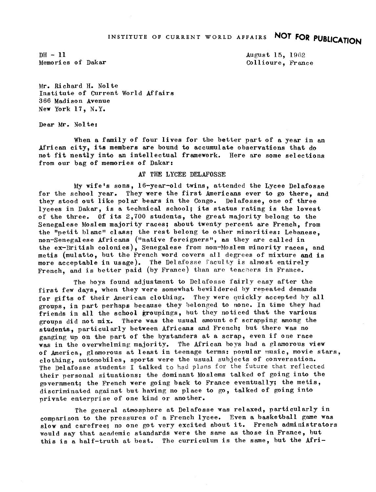$DH - II$ Memories of Dakar August 15, 1962 Collioure, France

Mr. Richard H. Nolte Institute of Current World Affairs 366 Madi son Avenue New York 17, N.Y.

Dear Mr. Nolte:

When a family of four lives for the better part of a year in an African city, its members are bound to accumulate observations that do not fit neatly into an intellectual framework. Here are some selections from our bag of memories of Dakar:

## AT THE LYCEE DELAFOSSE

My wife's sons, 16-year-old twins, attended the Lycee Delafosse for the school year. They were the first Americans ever to go there, and they stood out like polar bears in the Congo. Delafosse, one of three lycees in Dakar, is a technical school; its status rating is the lowest of the three. Of its  $2,700$  students, the great majority belong to the Senegalese Moslem majority races; about twenty percent are French, from the "petit blanc" class: the rest belong to other minorities: Lebanese. non-Senegalese Africans ("native foreigners", as they are called in the ex-British colonies), Senegalese from non-Moslem minority races, and metis (mulatto, but the French word covers all degrees of mixture and is more acceptable in usage). The Delafosse faculty is almost entirely French, and is better paid (by France) than are teachers in France.

The boys found adjustment to Delafosse fairly easy after the first few days, when they were somewhat bewildered by repeated demands for gifts of their American clothing. They were quickly accepted by all groups, in part perhaps because they belonged to none. In time they had. friends in all the school groupings, but they noticed that the various groups did not mix. There was the usual omount of scrapping among the students, particularly between Africans and French; but there was no ganging up on the part of the bystanders at a scrap, even if one race was in the overwhelming majority. The African boys had a glamorous view of America, glamorous at least in teenage terms: popular music, movie stars, clothing, automobiles, sports vere the usual subjects of conversation. The Delafosse students I talked to had plans for the future that reflected their personal situations: the dominant Moslems talked of going into the government; the French were going back to France eventually; the metis, discriminated against but having no place to go, talked of going into private enterprise of one kind or another,

The general atmosphere at Delafosse was relaxed, particularly in comparison to the pressures of <sup>a</sup> French lycee, Even <sup>a</sup> basketball game was slow and carefree; no one got very excited about it. French administrators would say that academic standards were the same as those in France, but this is a half-truth at best. The curriculum is the same, but the Afri-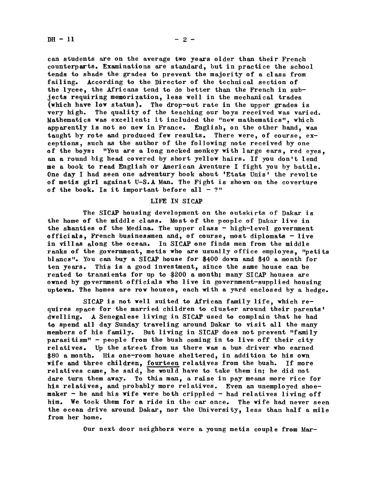can students are on the average two years older than their French counterparts. Examinations are standard, but in practice the school tends to shade the grades to prevent the majority of a class from<br>failing. According to the Director of the technical section of According to the Director of the technical section of the lycee, the Africans tend to do better than the French in subjects requiring memorization, less well in the mechanical trades (which have low status). The drop-out rate in the upper grades is very. high. The quality of the teaching our boys received was varied. Mathematics was excellent: it included the "new mathematics", which apparently is not so new in France. English, on the other hand, was taught by rote and produced few results. There were, of course, exceptions, such as the author of the following note received by one of the boys: "You are a long necked monkey with large ears, red eyes, an a round big head covered by short yellow hairs. If you don't lend me a book to read English or American Aventure I fight you by battle. One day I had seen one adventury book about 'Etats Unis' the revolte of metis girl against U-S.A Man. The Fight is shown on the coverture of the book. Is it important before all  $-$  ?"

## LIFE IN SICAP

The SICAP housing development on the outskirts of Dakar is the home of the middle class. Most of the people of Dakar live in the shanties of the Medina. The upper class  $-$  high-level government officials, French businessmen and, of course, most diplomats  $-$  live in villas along the ocean. In SICAP one finds men from the middle ranks of the government, metis who are usually office employes, "petits blancs". You can buy a SICAP house for \$400 down and \$40 a month for ten years. This is a good investment, since the same house can be rented to transients for up to  $$200$  a month; many SICAP houses are owned by government officials who live in government-supplied housing uptown. The homes are row houses, each with a yard enclosed by a hedge.

SICAP is not well suited to African family life, which requires space for the married children to cluster around their parents' dwelling. A Senegalese living in SICAP used to complain that he had to spend all day Sunday traveling around Dakar to visit all the many members of his family. But living in SICAP does not prevent "family parasitism"- people from the bush coming in to live off their city relatives. Up the street from us there was a bus driver who earned, \$80 a month. His one-room house sheltered, in addition to his own wife and three children, fourteen relatives from the bush. If more relatives came, he said, he would have to take them in; he did not dare turn them away. To this man, a raise in pay means more rice for his relatives, and probably more relatives. Even an unemployed shoemaker  $-$  he and his wife were both crippled  $-$  had relatives living off him. We took them for a ride in the car once. The wife had never seen the ocean drive around Dakar, nor the University, less than half a mile from her home.

Our next door neighbors were a young metis couple from Mar-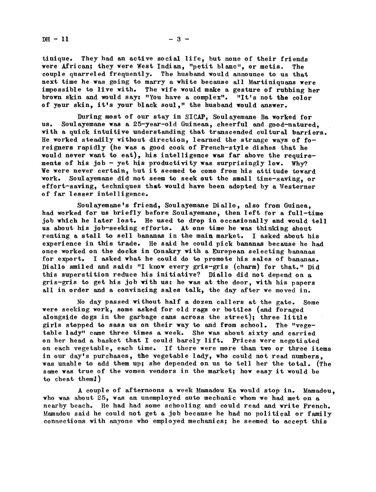$DH - 11$  - 3 -

tinique. They had an active social life, but none of their friends were African; they were West Indian, "petit blanc", or metis. The were African; they were West Indian, "petit blanc", or metis. couple quarreled frequently. The husband would announce to us that next time he was going to marry a white because all Martiniquans were impossible to live with. The wife would make a gesture of rubbing her brown skin and would say: "You have a complex". "It's not the color of your skin, it's your black soul," the husband would answer.

During most of our stay in SICAP, Soul ayemane Ba worked for us. Soulayemane was a 25-year-old Guinean, cheerful and good-natured. with a quick intuitive understanding that transcended cultural barriers. He worked steadily without direction, learned the strange ways of foreigners rapidly (he was a good cook of French-style dishes that he would never want to eat), his intelligence was far above the requirements of his job - yet his productivity was surprisingly low. Why? We were never certain, but it seemed to come from his attitude toward work. Soulayemane did not seem to seek out the small time-saving, or effort-saving, techniques that would have been adopted by a Westerner of far lesser intelligence.

Soulayemane's friend, Soulayemane Diallo, also from Guinea, had worked for us briefly before Soulayemane, then left for a full-time job which he later lost. He used to drop in occasionally and would tell us about his job-seeking efforts. At one time he was thinking about renting a stall to sell bananas in the main market. I asked about his experience in this trade. He said he could pick bananas because he had once worked on the docks in Conakry with a European selecting bananas for export. <sup>I</sup> asked what he could do to promote his sales of bananas. Diallo smiled and said: "I know every gris-gris (charm) for that." Did this superstition reduce his initiative? Diallo did not depend on a gris-gris to get his job with us: he was at the door, with his papers all in order and a convincing sales talk, the day after we moved in.

No day passed without half a dozen callers at the ate. Some were seeking work, some asked for old rags or bottles (and foraged alongside dogs in the garbage cans across the street); three little girls stopped to sass us on their way to and from school. The "vegetable lady" came three times a week. She was about sixty and carried on her head a basket that I could barely lift. Prices were negotiated on each vegetable, each time. If there were more than two or three items in our day's purchases, the vegetable lady, who could not read numbers, was unable to add them up; she depended on us to tell her the total. (The same was true of the women vendors in the market; how easy it would be to cheat them!)

A couple of afternoons a week Mamadou Ka would stop in. Mamadou. who was about 25, was an unemployed auto mechanic whom we had met on a nearby beach. He had had some schooling and could read and write French. Mamadou said he could not get a job because he had no political or family connections with anyone who employed mechanics; he seemed to accept this